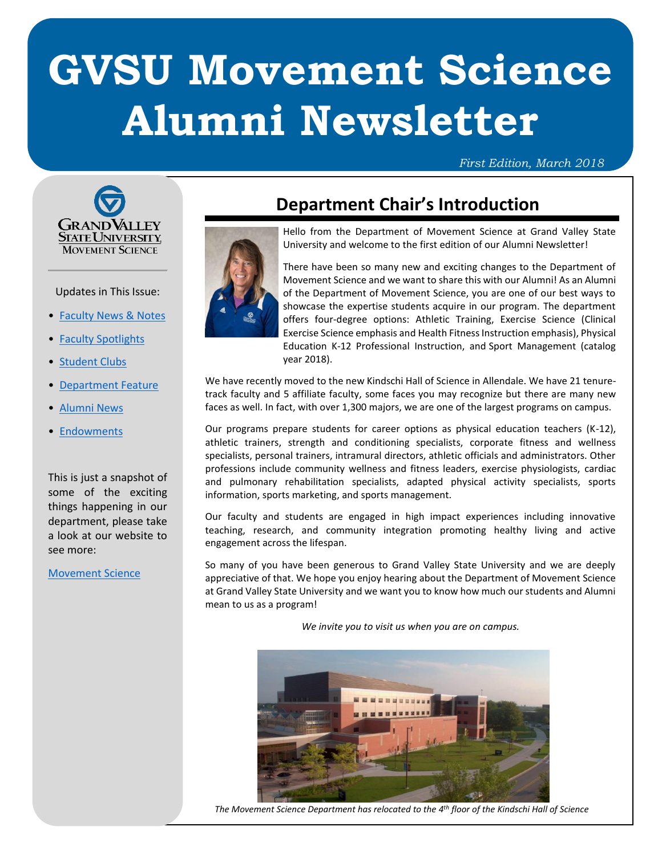# **GVSU Movement Science Alumni Newsletter**

#### *First Edition, March 2018*



#### Updates in This Issue:

- [Faculty News & Notes](#page-1-0)
- [Faculty Spotlights](#page-2-0)
- [Student Clubs](#page-3-0)
- [Department Feature](#page-4-0)
- [Alumni News](#page-5-0)
- [Endowments](#page-6-0)

This is just a snapshot of some of the exciting things happening in our department, please take a look at our website to see more:

[Movement Science](http://gvsu.edu/move-sci)

### <span id="page-0-0"></span>**Department Chair's Introduction**

<span id="page-0-1"></span>

Hello from the Department of Movement Science at Grand Valley State University and welcome to the first edition of our Alumni Newsletter!

There have been so many new and exciting changes to the Department of Movement Science and we want to share this with our Alumni! As an Alumni of the Department of Movement Science, you are one of our best ways to showcase the expertise students acquire in our program. The department offers four-degree options: Athletic Training, Exercise Science (Clinical Exercise Science emphasis and Health Fitness Instruction emphasis), Physical Education K-12 Professional Instruction, and Sport Management (catalog year 2018).

We have recently moved to the new Kindschi Hall of Science in Allendale. We have 21 tenuretrack faculty and 5 affiliate faculty, some faces you may recognize but there are many new faces as well. In fact, with over 1,300 majors, we are one of the largest programs on campus.

Our programs prepare students for career options as physical education teachers (K-12), athletic trainers, strength and conditioning specialists, corporate fitness and wellness specialists, personal trainers, intramural directors, athletic officials and administrators. Other professions include community wellness and fitness leaders, exercise physiologists, cardiac and pulmonary rehabilitation specialists, adapted physical activity specialists, sports information, sports marketing, and sports management.

Our faculty and students are engaged in high impact experiences including innovative teaching, research, and community integration promoting healthy living and active engagement across the lifespan.

So many of you have been generous to Grand Valley State University and we are deeply appreciative of that. We hope you enjoy hearing about the Department of Movement Science at Grand Valley State University and we want you to know how much our students and Alumni mean to us as a program!

*We invite you to visit us when you are on campus.*



*The Movement Science Department has relocated to the 4 th floor of the Kindschi Hall of Science*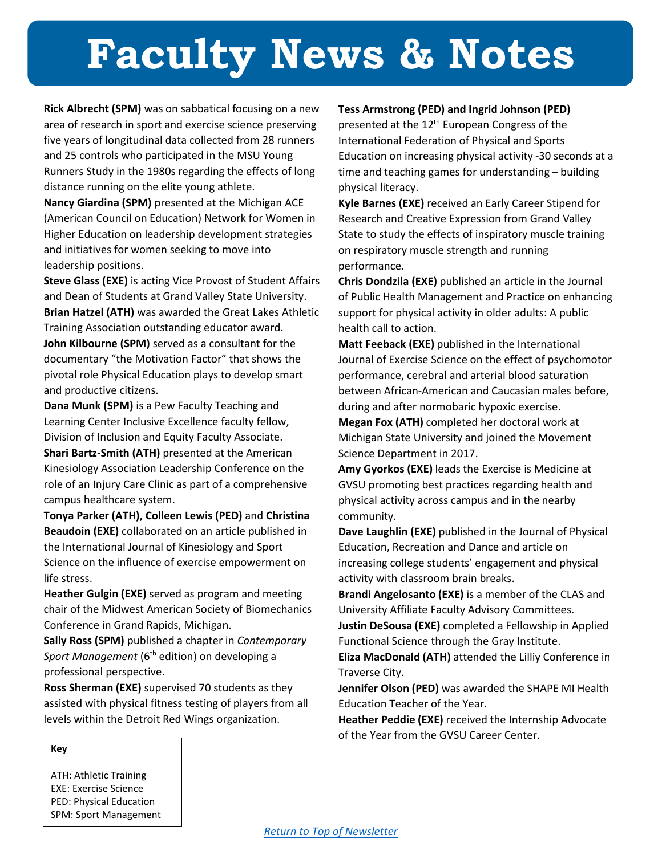# <span id="page-1-0"></span>**[Faculty News & Notes](#page-1-0)**

**Rick Albrecht (SPM)** was on sabbatical focusing on a new area of research in sport and exercise science preserving five years of longitudinal data collected from 28 runners and 25 controls who participated in the MSU Young Runners Study in the 1980s regarding the effects of long distance running on the elite young athlete.

**Nancy Giardina (SPM)** presented at the Michigan ACE (American Council on Education) Network for Women in Higher Education on leadership development strategies and initiatives for women seeking to move into leadership positions.

**Steve Glass (EXE)** is acting Vice Provost of Student Affairs and Dean of Students at Grand Valley State University. **Brian Hatzel (ATH)** was awarded the Great Lakes Athletic Training Association outstanding educator award. **John Kilbourne (SPM)** served as a consultant for the documentary "the Motivation Factor" that shows the pivotal role Physical Education plays to develop smart and productive citizens.

**Dana Munk (SPM)** is a Pew Faculty Teaching and Learning Center Inclusive Excellence faculty fellow, Division of Inclusion and Equity Faculty Associate. **Shari Bartz-Smith (ATH)** presented at the American Kinesiology Association Leadership Conference on the role of an Injury Care Clinic as part of a comprehensive campus healthcare system.

**Tonya Parker (ATH), Colleen Lewis (PED)** and **Christina Beaudoin (EXE)** collaborated on an article published in the International Journal of Kinesiology and Sport Science on the influence of exercise empowerment on life stress.

**Heather Gulgin (EXE)** served as program and meeting chair of the Midwest American Society of Biomechanics Conference in Grand Rapids, Michigan.

**Sally Ross (SPM)** published a chapter in *Contemporary*  Sport Management (6<sup>th</sup> edition) on developing a professional perspective.

**Ross Sherman (EXE)** supervised 70 students as they assisted with physical fitness testing of players from all levels within the Detroit Red Wings organization.

#### **Tess Armstrong (PED) and Ingrid Johnson (PED)**

presented at the 12<sup>th</sup> European Congress of the International Federation of Physical and Sports Education on increasing physical activity -30 seconds at a time and teaching games for understanding – building physical literacy.

**Kyle Barnes (EXE)** received an Early Career Stipend for Research and Creative Expression from Grand Valley State to study the effects of inspiratory muscle training on respiratory muscle strength and running performance.

**Chris Dondzila (EXE)** published an article in the Journal of Public Health Management and Practice on enhancing support for physical activity in older adults: A public health call to action.

**Matt Feeback (EXE)** published in the International Journal of Exercise Science on the effect of psychomotor performance, cerebral and arterial blood saturation between African-American and Caucasian males before, during and after normobaric hypoxic exercise.

**Megan Fox (ATH)** completed her doctoral work at Michigan State University and joined the Movement Science Department in 2017.

**Amy Gyorkos (EXE)** leads the Exercise is Medicine at GVSU promoting best practices regarding health and physical activity across campus and in the nearby community.

**Dave Laughlin (EXE)** published in the Journal of Physical Education, Recreation and Dance and article on increasing college students' engagement and physical activity with classroom brain breaks.

**Brandi Angelosanto (EXE)** is a member of the CLAS and University Affiliate Faculty Advisory Committees.

**Justin DeSousa (EXE)** completed a Fellowship in Applied Functional Science through the Gray Institute.

**Eliza MacDonald (ATH)** attended the Lilliy Conference in Traverse City.

**Jennifer Olson (PED)** was awarded the SHAPE MI Health Education Teacher of the Year.

**Heather Peddie (EXE)** received the Internship Advocate of the Year from the GVSU Career Center.

#### **Key**

ATH: Athletic Training EXE: Exercise Science PED: Physical Education SPM: Sport Management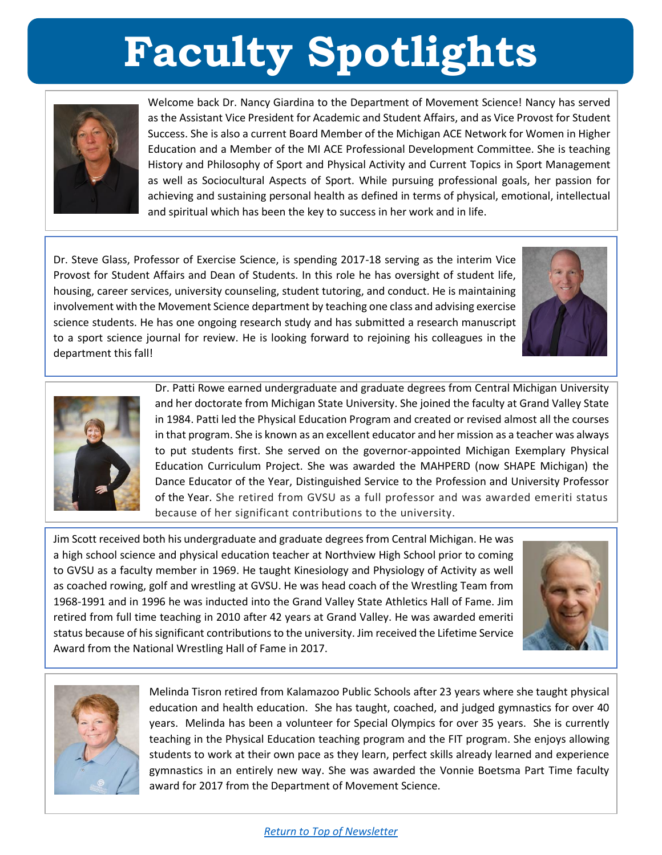# **Faculty Spotlights**

<span id="page-2-0"></span>

Welcome back Dr. Nancy Giardina to the Department of Movement Science! Nancy has served as the Assistant Vice President for Academic and Student Affairs, and as Vice Provost for Student Success. She is also a current Board Member of the Michigan ACE Network for Women in Higher Education and a Member of the MI ACE Professional Development Committee. She is teaching History and Philosophy of Sport and Physical Activity and Current Topics in Sport Management as well as Sociocultural Aspects of Sport. While pursuing professional goals, her passion for achieving and sustaining personal health as defined in terms of physical, emotional, intellectual and spiritual which has been the key to success in her work and in life.

Dr. Steve Glass, Professor of Exercise Science, is spending 2017-18 serving as the interim Vice Provost for Student Affairs and Dean of Students. In this role he has oversight of student life, housing, career services, university counseling, student tutoring, and conduct. He is maintaining involvement with the Movement Science department by teaching one class and advising exercise science students. He has one ongoing research study and has submitted a research manuscript to a sport science journal for review. He is looking forward to rejoining his colleagues in the department this fall!





Dr. Patti Rowe earned undergraduate and graduate degrees from Central Michigan University and her doctorate from Michigan State University. She joined the faculty at Grand Valley State in 1984. Patti led the Physical Education Program and created or revised almost all the courses in that program. She is known as an excellent educator and her mission as a teacher was always to put students first. She served on the governor-appointed Michigan Exemplary Physical Education Curriculum Project. She was awarded the MAHPERD (now SHAPE Michigan) the Dance Educator of the Year, Distinguished Service to the Profession and University Professor of the Year. She retired from GVSU as a full professor and was awarded emeriti status because of her significant contributions to the university.

Jim Scott received both his undergraduate and graduate degrees from Central Michigan. He was a high school science and physical education teacher at Northview High School prior to coming to GVSU as a faculty member in 1969. He taught Kinesiology and Physiology of Activity as well as coached rowing, golf and wrestling at GVSU. He was head coach of the Wrestling Team from 1968-1991 and in 1996 he was inducted into the Grand Valley State Athletics Hall of Fame. Jim retired from full time teaching in 2010 after 42 years at Grand Valley. He was awarded emeriti status because of his significant contributions to the university. Jim received the Lifetime Service Award from the National Wrestling Hall of Fame in 2017.





Melinda Tisron retired from Kalamazoo Public Schools after 23 years where she taught physical education and health education. She has taught, coached, and judged gymnastics for over 40 years. Melinda has been a volunteer for Special Olympics for over 35 years. She is currently teaching in the Physical Education teaching program and the FIT program. She enjoys allowing students to work at their own pace as they learn, perfect skills already learned and experience gymnastics in an entirely new way. She was awarded the Vonnie Boetsma Part Time faculty award for 2017 from the Department of Movement Science.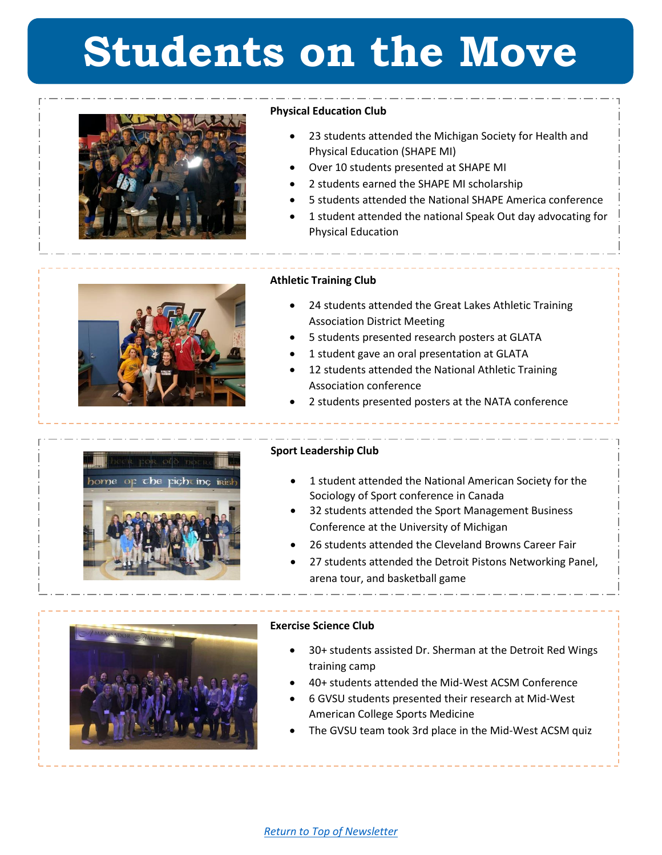## <span id="page-3-0"></span>**Students on the Move**



#### **Physical Education Club**

- 23 students attended the Michigan Society for Health and Physical Education (SHAPE MI)
- Over 10 students presented at SHAPE MI
- 2 students earned the SHAPE MI scholarship
- 5 students attended the National SHAPE America conference
- 1 student attended the national Speak Out day advocating for Physical Education



#### **Athletic Training Club**

- 24 students attended the Great Lakes Athletic Training Association District Meeting
- 5 students presented research posters at GLATA
- 1 student gave an oral presentation at GLATA
- 12 students attended the National Athletic Training Association conference
- 2 students presented posters at the NATA conference



#### **Sport Leadership Club**

- 1 student attended the National American Society for the Sociology of Sport conference in Canada
- 32 students attended the Sport Management Business Conference at the University of Michigan
- 26 students attended the Cleveland Browns Career Fair
- 27 students attended the Detroit Pistons Networking Panel, arena tour, and basketball game



#### **Exercise Science Club**

- 30+ students assisted Dr. Sherman at the Detroit Red Wings training camp
- 40+ students attended the Mid-West ACSM Conference
- 6 GVSU students presented their research at Mid-West American College Sports Medicine
- The GVSU team took 3rd place in the Mid-West ACSM quiz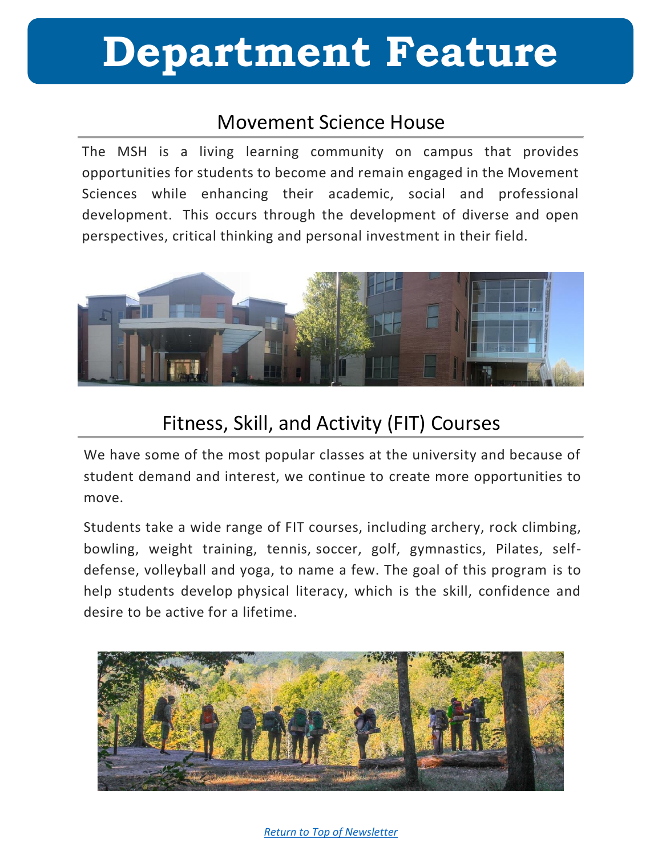## <span id="page-4-0"></span>**Department Feature**

### Movement Science House

The MSH is a living learning community on campus that provides opportunities for students to become and remain engaged in the Movement Sciences while enhancing their academic, social and professional development. This occurs through the development of diverse and open perspectives, critical thinking and personal investment in their field.



### Fitness, Skill, and Activity (FIT) Courses

We have some of the most popular classes at the university and because of student demand and interest, we continue to create more opportunities to move.

Students take a wide range of FIT courses, including archery, rock climbing, bowling, weight training, tennis, soccer, golf, gymnastics, Pilates, selfdefense, volleyball and yoga, to name a few. The goal of this program is to help students develop physical literacy, which is the skill, confidence and desire to be active for a lifetime.



#### *[Return to Top of Newsletter](#page-0-1)*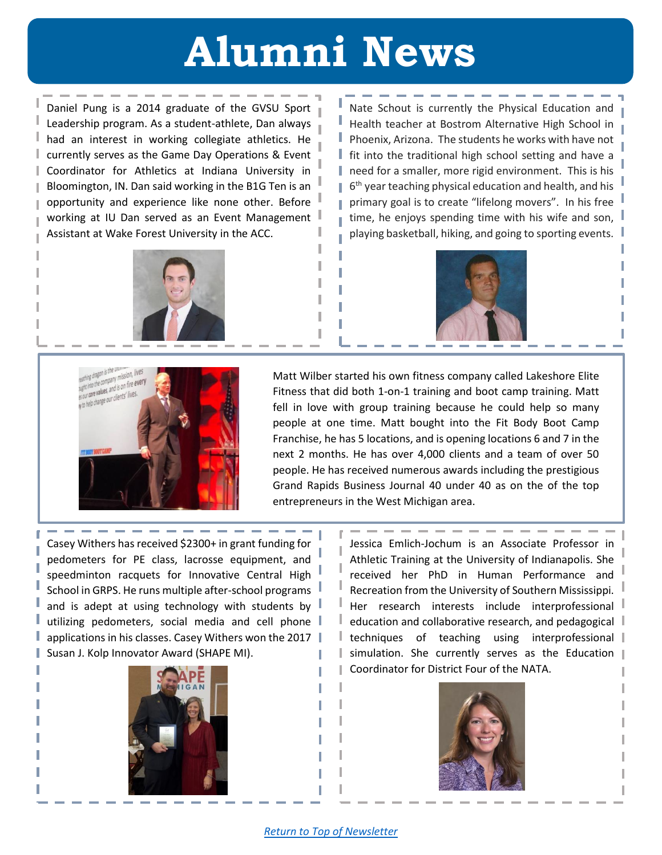## **Alumni News**

ı I L Т

<span id="page-5-0"></span>Daniel Pung is a 2014 graduate of the GVSU Sport Leadership program. As a student-athlete, Dan always had an interest in working collegiate athletics. He currently serves as the Game Day Operations & Event Coordinator for Athletics at Indiana University in Bloomington, IN. Dan said working in the B1G Ten is an opportunity and experience like none other. Before working at IU Dan served as an Event Management Assistant at Wake Forest University in the ACC.

Nate Schout is currently the Physical Education and Health teacher at Bostrom Alternative High School in Phoenix, Arizona. The students he works with have not fit into the traditional high school setting and have a need for a smaller, more rigid environment. This is his 6<sup>th</sup> year teaching physical education and health, and his primary goal is to create "lifelong movers". In his free time, he enjoys spending time with his wife and son, playing basketball, hiking, and going to sporting events.







Matt Wilber started his own fitness company called Lakeshore Elite Fitness that did both 1-on-1 training and boot camp training. Matt fell in love with group training because he could help so many people at one time. Matt bought into the Fit Body Boot Camp Franchise, he has 5 locations, and is opening locations 6 and 7 in the next 2 months. He has over 4,000 clients and a team of over 50 people. He has received numerous awards including the prestigious Grand Rapids Business Journal 40 under 40 as on the of the top entrepreneurs in the West Michigan area.

Casey Withers has received \$2300+ in grant funding for pedometers for PE class, lacrosse equipment, and speedminton racquets for Innovative Central High School in GRPS. He runs multiple after-school programs and is adept at using technology with students by utilizing pedometers, social media and cell phone applications in his classes. Casey Withers won the 2017 Susan J. Kolp Innovator Award (SHAPE MI).



Jessica Emlich-Jochum is an Associate Professor in Athletic Training at the University of Indianapolis. She received her PhD in Human Performance and Recreation from the University of Southern Mississippi. Her research interests include interprofessional education and collaborative research, and pedagogical l techniques of teaching using interprofessional simulation. She currently serves as the Education Coordinator for District Four of the NATA.